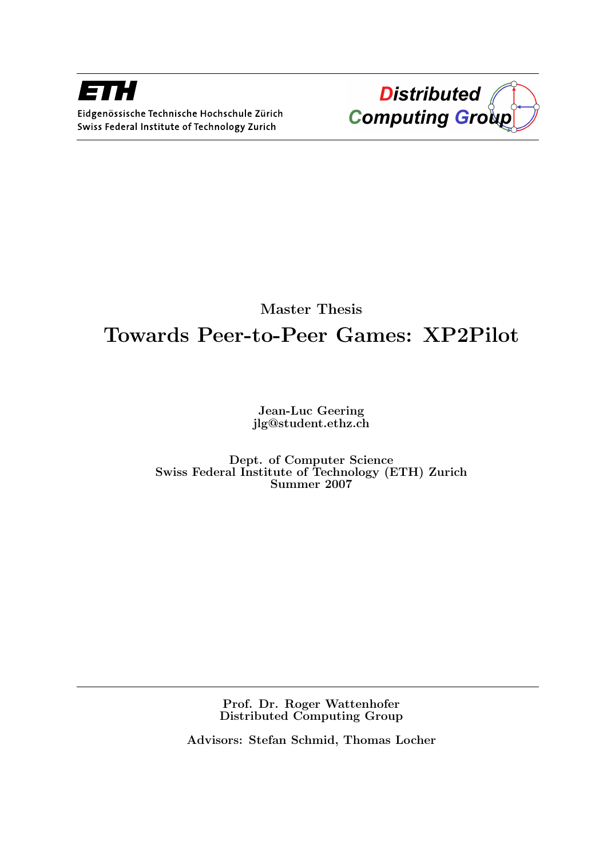



### Master Thesis Towards Peer-to-Peer Games: XP2Pilot

Jean-Luc Geering jlg@student.ethz.ch

Dept. of Computer Science Swiss Federal Institute of Technology (ETH) Zurich Summer 2007

> Prof. Dr. Roger Wattenhofer Distributed Computing Group

Advisors: Stefan Schmid, Thomas Locher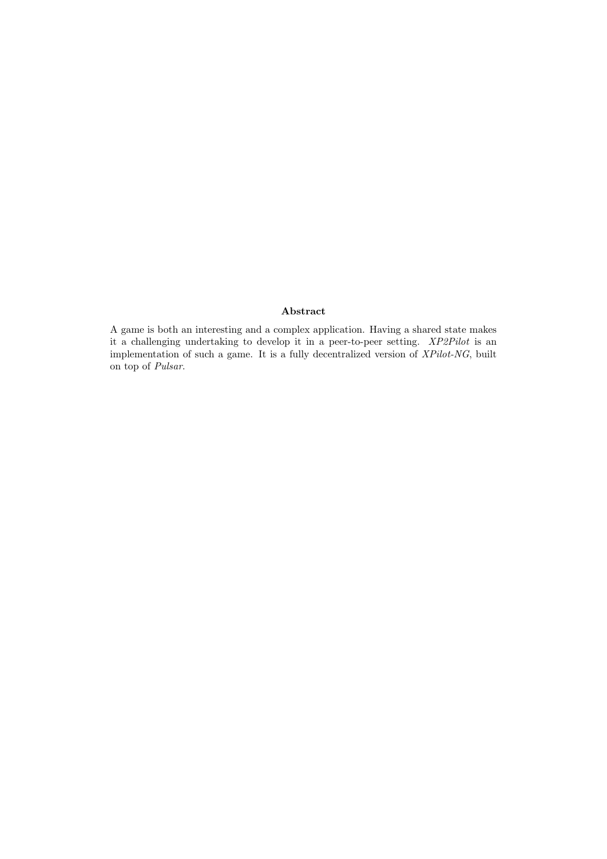#### Abstract

A game is both an interesting and a complex application. Having a shared state makes it a challenging undertaking to develop it in a peer-to-peer setting. XP2Pilot is an implementation of such a game. It is a fully decentralized version of  $XPilot\text{-}NG$ , built on top of Pulsar.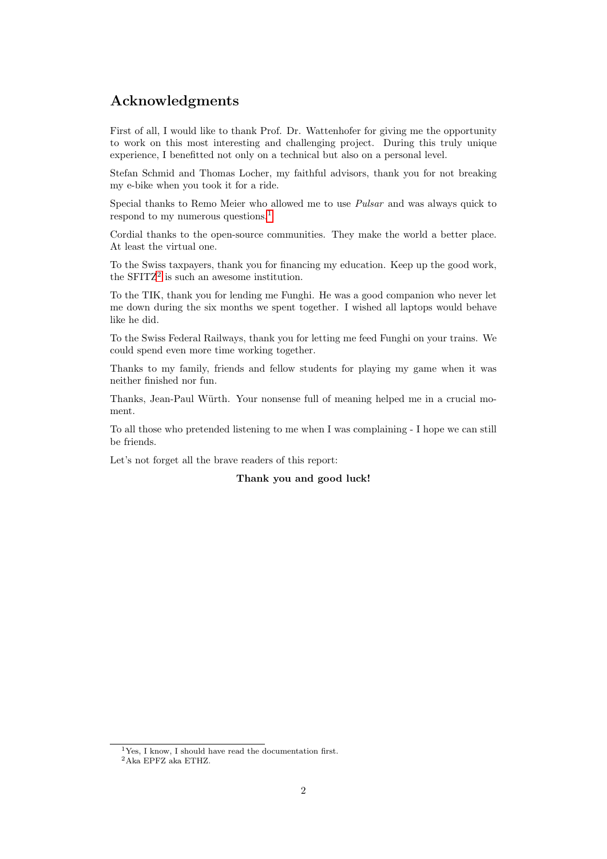#### Acknowledgments

First of all, I would like to thank Prof. Dr. Wattenhofer for giving me the opportunity to work on this most interesting and challenging project. During this truly unique experience, I benefitted not only on a technical but also on a personal level.

Stefan Schmid and Thomas Locher, my faithful advisors, thank you for not breaking my e-bike when you took it for a ride.

Special thanks to Remo Meier who allowed me to use Pulsar and was always quick to respond to my numerous questions.[1](#page-3-0)

Cordial thanks to the open-source communities. They make the world a better place. At least the virtual one.

To the Swiss taxpayers, thank you for financing my education. Keep up the good work, the  $SFTZ^2$  $SFTZ^2$  is such an awesome institution.

To the TIK, thank you for lending me Funghi. He was a good companion who never let me down during the six months we spent together. I wished all laptops would behave like he did.

To the Swiss Federal Railways, thank you for letting me feed Funghi on your trains. We could spend even more time working together.

Thanks to my family, friends and fellow students for playing my game when it was neither finished nor fun.

Thanks, Jean-Paul Würth. Your nonsense full of meaning helped me in a crucial moment.

To all those who pretended listening to me when I was complaining - I hope we can still be friends.

Let's not forget all the brave readers of this report:

#### Thank you and good luck!

<span id="page-3-0"></span><sup>&</sup>lt;sup>1</sup>Yes, I know, I should have read the documentation first.

<span id="page-3-1"></span> $^2$ Aka $\rm{EPFZ}$ aka $\rm{ETHZ}.$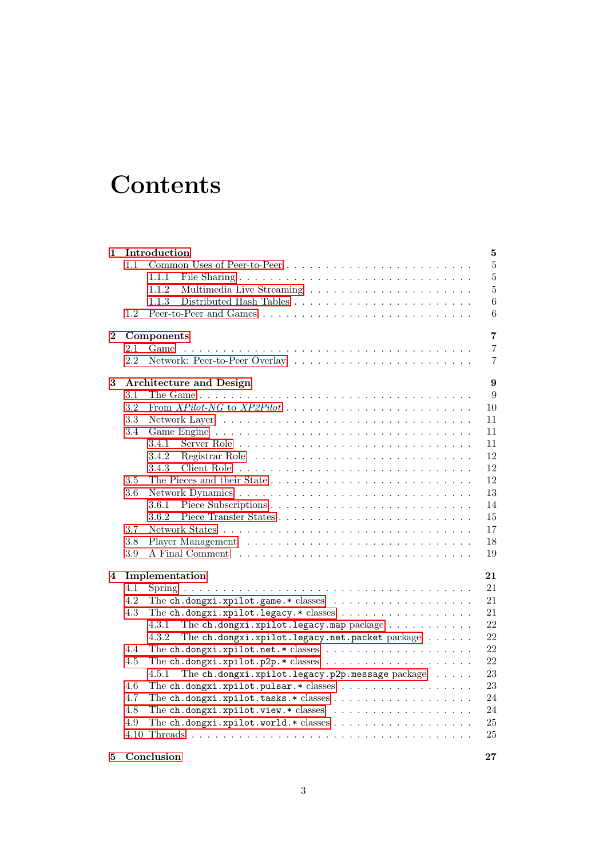## **Contents**

| $\mathbf{1}$ |                                     | Introduction<br>$\bf 5$                                                       |  |  |  |  |  |  |  |  |  |
|--------------|-------------------------------------|-------------------------------------------------------------------------------|--|--|--|--|--|--|--|--|--|
|              | 1.1                                 | $\overline{5}$                                                                |  |  |  |  |  |  |  |  |  |
|              |                                     | $\overline{5}$<br>1.1.1                                                       |  |  |  |  |  |  |  |  |  |
|              |                                     | $\overline{5}$<br>1.1.2                                                       |  |  |  |  |  |  |  |  |  |
|              |                                     | 6<br>1.1.3                                                                    |  |  |  |  |  |  |  |  |  |
|              | 1.2                                 | 6                                                                             |  |  |  |  |  |  |  |  |  |
|              |                                     |                                                                               |  |  |  |  |  |  |  |  |  |
| $\bf{2}$     |                                     | $\overline{7}$<br>Components                                                  |  |  |  |  |  |  |  |  |  |
|              | 2.1                                 | $\overline{7}$<br>Game                                                        |  |  |  |  |  |  |  |  |  |
|              | 2.2                                 | 7                                                                             |  |  |  |  |  |  |  |  |  |
| 3            | 9<br><b>Architecture and Design</b> |                                                                               |  |  |  |  |  |  |  |  |  |
|              | 3.1                                 | 9                                                                             |  |  |  |  |  |  |  |  |  |
|              | 3.2                                 | 10                                                                            |  |  |  |  |  |  |  |  |  |
|              | 3.3                                 | 11                                                                            |  |  |  |  |  |  |  |  |  |
|              | 3.4                                 | 11                                                                            |  |  |  |  |  |  |  |  |  |
|              |                                     | 3.4.1<br>11                                                                   |  |  |  |  |  |  |  |  |  |
|              |                                     | 12<br>3.4.2                                                                   |  |  |  |  |  |  |  |  |  |
|              |                                     | 12<br>3.4.3                                                                   |  |  |  |  |  |  |  |  |  |
|              | $3.5\,$                             | 12                                                                            |  |  |  |  |  |  |  |  |  |
|              | 3.6                                 | 13                                                                            |  |  |  |  |  |  |  |  |  |
|              |                                     | 3.6.1<br>14                                                                   |  |  |  |  |  |  |  |  |  |
|              |                                     | 15<br>3.6.2                                                                   |  |  |  |  |  |  |  |  |  |
|              | 3.7                                 | 17                                                                            |  |  |  |  |  |  |  |  |  |
|              | 3.8                                 | 18                                                                            |  |  |  |  |  |  |  |  |  |
|              |                                     |                                                                               |  |  |  |  |  |  |  |  |  |
|              | 3.9                                 | 19                                                                            |  |  |  |  |  |  |  |  |  |
| 4            |                                     | Implementation<br>21                                                          |  |  |  |  |  |  |  |  |  |
|              | 4.1                                 | 21                                                                            |  |  |  |  |  |  |  |  |  |
|              | $4.2\,$                             | The ch.dongxi.xpilot.game.*classes $\ldots \ldots \ldots \ldots \ldots$<br>21 |  |  |  |  |  |  |  |  |  |
|              | 4.3                                 | The ch.dongxi.xpilot.legacy.* classes<br>21                                   |  |  |  |  |  |  |  |  |  |
|              |                                     | The $ch.dongxi.xpilot.legacy.map package    $<br>22<br>4.3.1                  |  |  |  |  |  |  |  |  |  |
|              |                                     | The ch.dongxi.xpilot.legacy.net.packet package<br>22<br>4.3.2                 |  |  |  |  |  |  |  |  |  |
|              | 4.4                                 | 22                                                                            |  |  |  |  |  |  |  |  |  |
|              | 4.5                                 | 22                                                                            |  |  |  |  |  |  |  |  |  |
|              |                                     | 23<br>The ch.dongxi.xpilot.legacy.p2p.message package<br>4.5.1                |  |  |  |  |  |  |  |  |  |
|              | 4.6                                 | 23<br>The ch.dongxi.xpilot.pulsar.*classes                                    |  |  |  |  |  |  |  |  |  |
|              | 4.7                                 | 24                                                                            |  |  |  |  |  |  |  |  |  |
|              | 4.8                                 | The ch.dongxi.xpilot.view.*classes $\ldots \ldots \ldots \ldots \ldots$<br>24 |  |  |  |  |  |  |  |  |  |
|              | 4.9                                 | 25                                                                            |  |  |  |  |  |  |  |  |  |
|              | 4.10                                | 25                                                                            |  |  |  |  |  |  |  |  |  |
|              |                                     |                                                                               |  |  |  |  |  |  |  |  |  |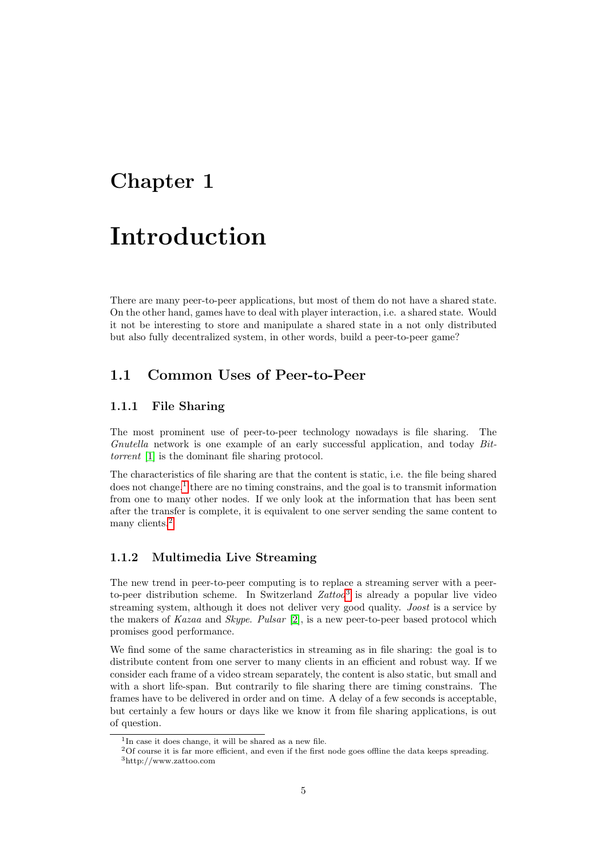### <span id="page-6-0"></span>Chapter 1

## Introduction

There are many peer-to-peer applications, but most of them do not have a shared state. On the other hand, games have to deal with player interaction, i.e. a shared state. Would it not be interesting to store and manipulate a shared state in a not only distributed but also fully decentralized system, in other words, build a peer-to-peer game?

#### <span id="page-6-1"></span>1.1 Common Uses of Peer-to-Peer

#### <span id="page-6-2"></span>1.1.1 File Sharing

The most prominent use of peer-to-peer technology nowadays is file sharing. The Gnutella network is one example of an early successful application, and today Bittorrent [\[1\]](#page-32-0) is the dominant file sharing protocol.

The characteristics of file sharing are that the content is static, i.e. the file being shared does not change,<sup>[1](#page-6-4)</sup> there are no timing constrains, and the goal is to transmit information from one to many other nodes. If we only look at the information that has been sent after the transfer is complete, it is equivalent to one server sending the same content to many clients.<sup>[2](#page-6-5)</sup>

#### <span id="page-6-3"></span>1.1.2 Multimedia Live Streaming

The new trend in peer-to-peer computing is to replace a streaming server with a peerto-peer distribution scheme. In Switzerland  $Zattoo<sup>3</sup>$  $Zattoo<sup>3</sup>$  $Zattoo<sup>3</sup>$  is already a popular live video streaming system, although it does not deliver very good quality. Joost is a service by the makers of Kazaa and Skype. Pulsar [\[2\]](#page-32-1), is a new peer-to-peer based protocol which promises good performance.

We find some of the same characteristics in streaming as in file sharing: the goal is to distribute content from one server to many clients in an efficient and robust way. If we consider each frame of a video stream separately, the content is also static, but small and with a short life-span. But contrarily to file sharing there are timing constrains. The frames have to be delivered in order and on time. A delay of a few seconds is acceptable, but certainly a few hours or days like we know it from file sharing applications, is out of question.

<span id="page-6-4"></span><sup>&</sup>lt;sup>1</sup>In case it does change, it will be shared as a new file.

<span id="page-6-6"></span><span id="page-6-5"></span><sup>2</sup>Of course it is far more efficient, and even if the first node goes offline the data keeps spreading. <sup>3</sup>http://www.zattoo.com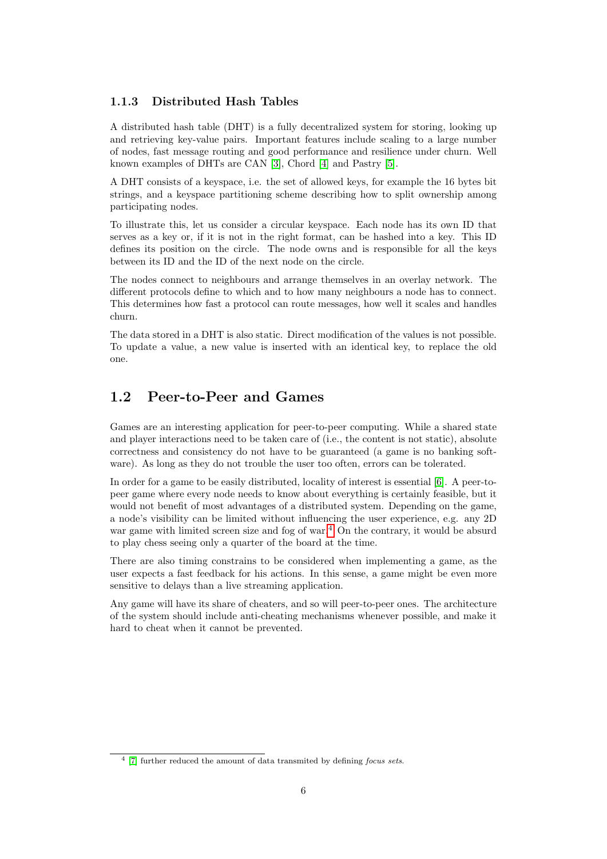#### <span id="page-7-0"></span>1.1.3 Distributed Hash Tables

A distributed hash table (DHT) is a fully decentralized system for storing, looking up and retrieving key-value pairs. Important features include scaling to a large number of nodes, fast message routing and good performance and resilience under churn. Well known examples of DHTs are CAN [\[3\]](#page-32-2), Chord [\[4\]](#page-32-3) and Pastry [\[5\]](#page-32-4).

A DHT consists of a keyspace, i.e. the set of allowed keys, for example the 16 bytes bit strings, and a keyspace partitioning scheme describing how to split ownership among participating nodes.

To illustrate this, let us consider a circular keyspace. Each node has its own ID that serves as a key or, if it is not in the right format, can be hashed into a key. This ID defines its position on the circle. The node owns and is responsible for all the keys between its ID and the ID of the next node on the circle.

The nodes connect to neighbours and arrange themselves in an overlay network. The different protocols define to which and to how many neighbours a node has to connect. This determines how fast a protocol can route messages, how well it scales and handles churn.

The data stored in a DHT is also static. Direct modification of the values is not possible. To update a value, a new value is inserted with an identical key, to replace the old one.

#### <span id="page-7-1"></span>1.2 Peer-to-Peer and Games

Games are an interesting application for peer-to-peer computing. While a shared state and player interactions need to be taken care of (i.e., the content is not static), absolute correctness and consistency do not have to be guaranteed (a game is no banking software). As long as they do not trouble the user too often, errors can be tolerated.

In order for a game to be easily distributed, locality of interest is essential [\[6\]](#page-32-5). A peer-topeer game where every node needs to know about everything is certainly feasible, but it would not benefit of most advantages of a distributed system. Depending on the game, a node's visibility can be limited without influencing the user experience, e.g. any 2D war game with limited screen size and fog of war.<sup>[4](#page-7-2)</sup> On the contrary, it would be absurd to play chess seeing only a quarter of the board at the time.

There are also timing constrains to be considered when implementing a game, as the user expects a fast feedback for his actions. In this sense, a game might be even more sensitive to delays than a live streaming application.

Any game will have its share of cheaters, and so will peer-to-peer ones. The architecture of the system should include anti-cheating mechanisms whenever possible, and make it hard to cheat when it cannot be prevented.

<span id="page-7-2"></span> $4$  [\[7\]](#page-32-6) further reduced the amount of data transmited by defining focus sets.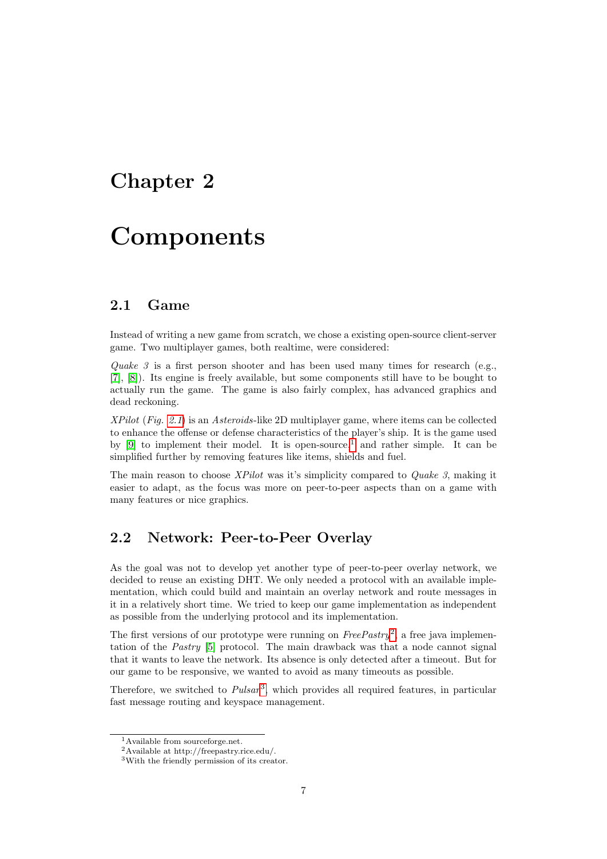### <span id="page-8-0"></span>Chapter 2

## **Components**

#### <span id="page-8-1"></span>2.1 Game

Instead of writing a new game from scratch, we chose a existing open-source client-server game. Two multiplayer games, both realtime, were considered:

Quake 3 is a first person shooter and has been used many times for research (e.g., [\[7\]](#page-32-6), [\[8\]](#page-32-7)). Its engine is freely available, but some components still have to be bought to actually run the game. The game is also fairly complex, has advanced graphics and dead reckoning.

XPilot (Fig. [2.1](#page-9-0)) is an Asteroids-like 2D multiplayer game, where items can be collected to enhance the offense or defense characteristics of the player's ship. It is the game used by [\[9\]](#page-32-8) to implement their model. It is open-source,  $\frac{1}{1}$  $\frac{1}{1}$  $\frac{1}{1}$  and rather simple. It can be simplified further by removing features like items, shields and fuel.

The main reason to choose XPilot was it's simplicity compared to Quake 3, making it easier to adapt, as the focus was more on peer-to-peer aspects than on a game with many features or nice graphics.

#### <span id="page-8-2"></span>2.2 Network: Peer-to-Peer Overlay

As the goal was not to develop yet another type of peer-to-peer overlay network, we decided to reuse an existing DHT. We only needed a protocol with an available implementation, which could build and maintain an overlay network and route messages in it in a relatively short time. We tried to keep our game implementation as independent as possible from the underlying protocol and its implementation.

The first versions of our prototype were running on  $FreePastry^2$  $FreePastry^2$ , a free java implementation of the Pastry [\[5\]](#page-32-4) protocol. The main drawback was that a node cannot signal that it wants to leave the network. Its absence is only detected after a timeout. But for our game to be responsive, we wanted to avoid as many timeouts as possible.

Therefore, we switched to  $Pulsar<sup>3</sup>$  $Pulsar<sup>3</sup>$  $Pulsar<sup>3</sup>$ , which provides all required features, in particular fast message routing and keyspace management.

<span id="page-8-3"></span><sup>&</sup>lt;sup>1</sup>Available from sourceforge.net.

<span id="page-8-4"></span><sup>2</sup>Available at http://freepastry.rice.edu/.

<span id="page-8-5"></span><sup>3</sup>With the friendly permission of its creator.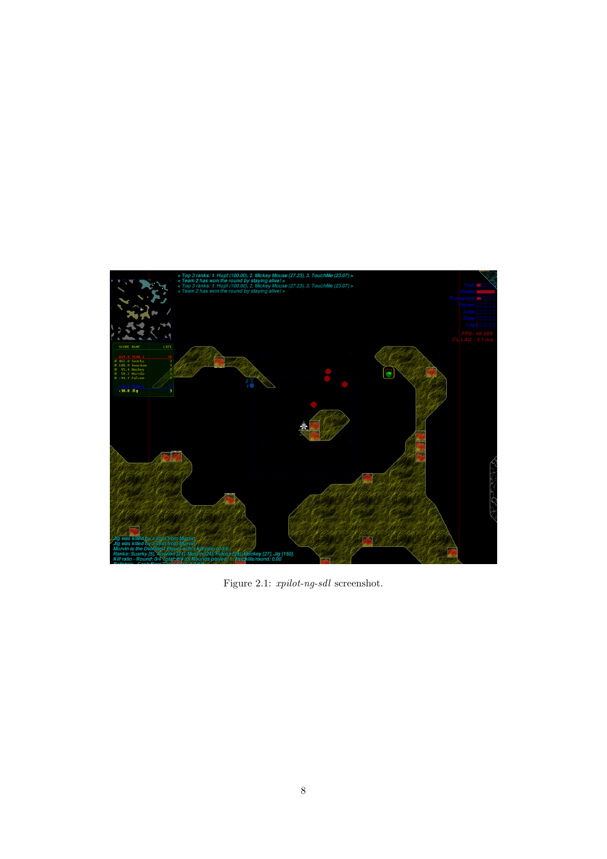<span id="page-9-0"></span>

Figure 2.1:  $\emph{xpilot-ng-sdl}$  screenshot.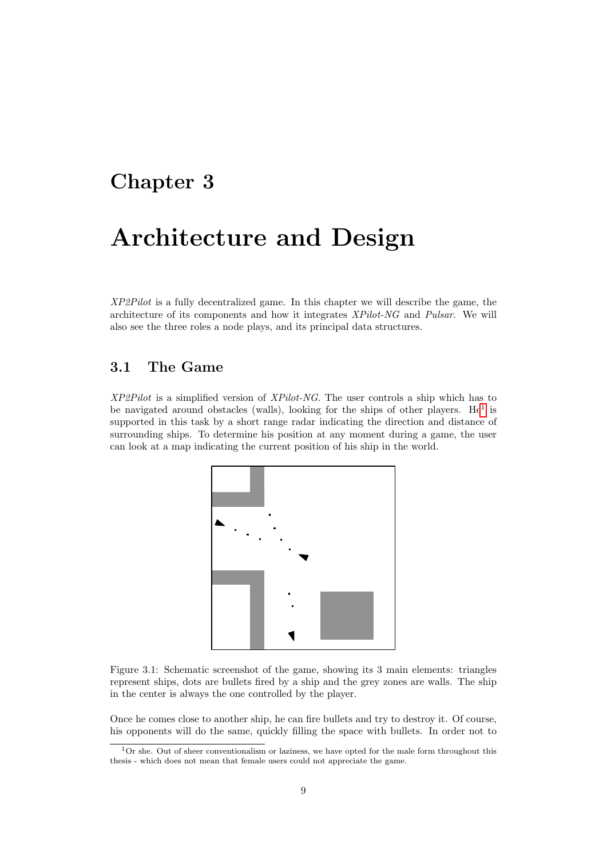### <span id="page-10-0"></span>Chapter 3

## Architecture and Design

XP2Pilot is a fully decentralized game. In this chapter we will describe the game, the architecture of its components and how it integrates XPilot-NG and Pulsar. We will also see the three roles a node plays, and its principal data structures.

#### <span id="page-10-1"></span>3.1 The Game

XP2Pilot is a simplified version of XPilot-NG. The user controls a ship which has to be navigated around obstacles (walls), looking for the ships of other players. He<sup>[1](#page-10-2)</sup> is supported in this task by a short range radar indicating the direction and distance of surrounding ships. To determine his position at any moment during a game, the user can look at a map indicating the current position of his ship in the world.



<span id="page-10-3"></span>Figure 3.1: Schematic screenshot of the game, showing its 3 main elements: triangles represent ships, dots are bullets fired by a ship and the grey zones are walls. The ship in the center is always the one controlled by the player.

Once he comes close to another ship, he can fire bullets and try to destroy it. Of course, his opponents will do the same, quickly filling the space with bullets. In order not to

<span id="page-10-2"></span> $1$ Or she. Out of sheer conventionalism or laziness, we have opted for the male form throughout this thesis - which does not mean that female users could not appreciate the game.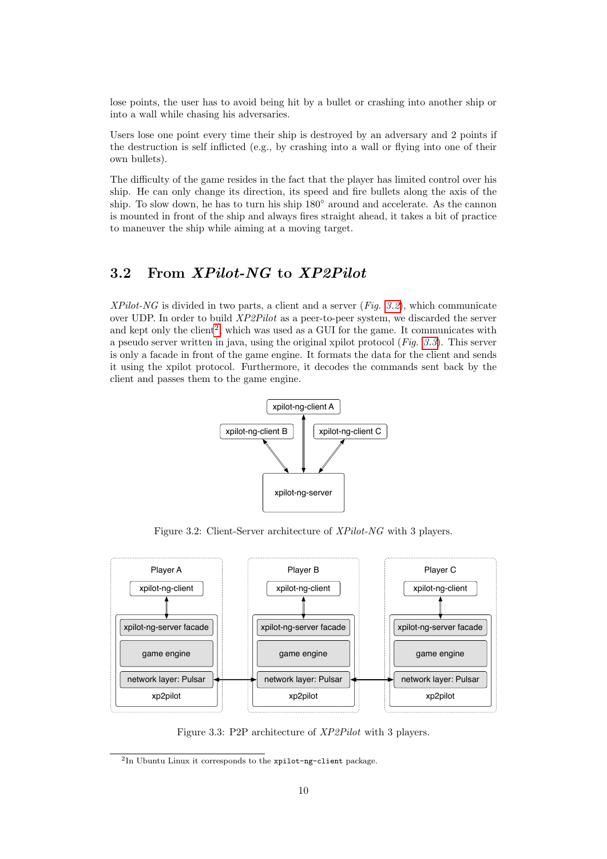lose points, the user has to avoid being hit by a bullet or crashing into another ship or into a wall while chasing his adversaries.

Users lose one point every time their ship is destroyed by an adversary and 2 points if the destruction is self inflicted (e.g., by crashing into a wall or flying into one of their own bullets).

The difficulty of the game resides in the fact that the player has limited control over his ship. He can only change its direction, its speed and fire bullets along the axis of the ship. To slow down, he has to turn his ship 180◦ around and accelerate. As the cannon is mounted in front of the ship and always fires straight ahead, it takes a bit of practice to maneuver the ship while aiming at a moving target.

#### <span id="page-11-0"></span>3.2 From XPilot-NG to XP2Pilot

XPilot-NG is divided in two parts, a client and a server  $(Fig. 3.2)$  $(Fig. 3.2)$  $(Fig. 3.2)$ , which communicate over UDP. In order to build XP2Pilot as a peer-to-peer system, we discarded the server and kept only the client<sup>[2](#page-11-2)</sup>, which was used as a GUI for the game. It communicates with a pseudo server written in java, using the original xpilot protocol  $(Fiq. 3.3)$  $(Fiq. 3.3)$  $(Fiq. 3.3)$ . This server is only a facade in front of the game engine. It formats the data for the client and sends it using the xpilot protocol. Furthermore, it decodes the commands sent back by the client and passes them to the game engine.



<span id="page-11-1"></span>Figure 3.2: Client-Server architecture of XPilot-NG with 3 players.



<span id="page-11-3"></span>Figure 3.3: P2P architecture of XP2Pilot with 3 players.

<span id="page-11-2"></span><sup>2</sup> In Ubuntu Linux it corresponds to the xpilot-ng-client package.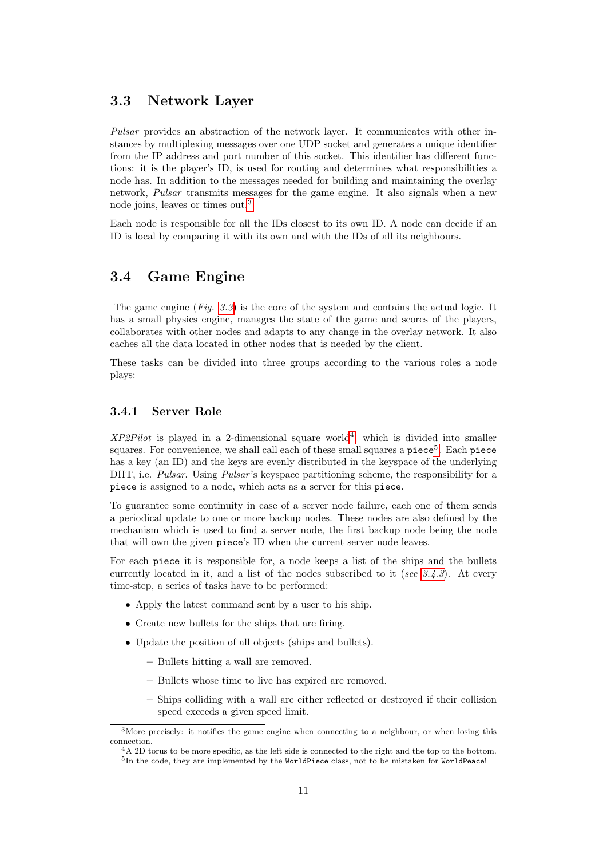#### <span id="page-12-0"></span>3.3 Network Layer

Pulsar provides an abstraction of the network layer. It communicates with other instances by multiplexing messages over one UDP socket and generates a unique identifier from the IP address and port number of this socket. This identifier has different functions: it is the player's ID, is used for routing and determines what responsibilities a node has. In addition to the messages needed for building and maintaining the overlay network, Pulsar transmits messages for the game engine. It also signals when a new node joins, leaves or times out.[3](#page-12-3)

Each node is responsible for all the IDs closest to its own ID. A node can decide if an ID is local by comparing it with its own and with the IDs of all its neighbours.

#### <span id="page-12-1"></span>3.4 Game Engine

The game engine  $(Fiq. 3.3)$  $(Fiq. 3.3)$  $(Fiq. 3.3)$  is the core of the system and contains the actual logic. It has a small physics engine, manages the state of the game and scores of the players, collaborates with other nodes and adapts to any change in the overlay network. It also caches all the data located in other nodes that is needed by the client.

These tasks can be divided into three groups according to the various roles a node plays:

#### <span id="page-12-2"></span>3.4.1 Server Role

 $XP2Pilot$  is played in a 2-dimensional square world<sup>[4](#page-12-4)</sup>, which is divided into smaller squares. For convenience, we shall call each of these small squares a  $\mathsf{piece}^5$  $\mathsf{piece}^5$ . Each  $\mathsf{piece}^5$ has a key (an ID) and the keys are evenly distributed in the keyspace of the underlying DHT, i.e. *Pulsar*. Using *Pulsar's* keyspace partitioning scheme, the responsibility for a piece is assigned to a node, which acts as a server for this piece.

To guarantee some continuity in case of a server node failure, each one of them sends a periodical update to one or more backup nodes. These nodes are also defined by the mechanism which is used to find a server node, the first backup node being the node that will own the given piece's ID when the current server node leaves.

For each piece it is responsible for, a node keeps a list of the ships and the bullets currently located in it, and a list of the nodes subscribed to it (see  $3.4.3$ ). At every time-step, a series of tasks have to be performed:

- Apply the latest command sent by a user to his ship.
- Create new bullets for the ships that are firing.
- Update the position of all objects (ships and bullets).
	- Bullets hitting a wall are removed.
	- Bullets whose time to live has expired are removed.
	- Ships colliding with a wall are either reflected or destroyed if their collision speed exceeds a given speed limit.

<span id="page-12-3"></span><sup>&</sup>lt;sup>3</sup>More precisely: it notifies the game engine when connecting to a neighbour, or when losing this connection.

<span id="page-12-5"></span><span id="page-12-4"></span> $4A$  2D torus to be more specific, as the left side is connected to the right and the top to the bottom.  $^5$ In the code, they are implemented by the WorldPiece class, not to be mistaken for WorldPeace!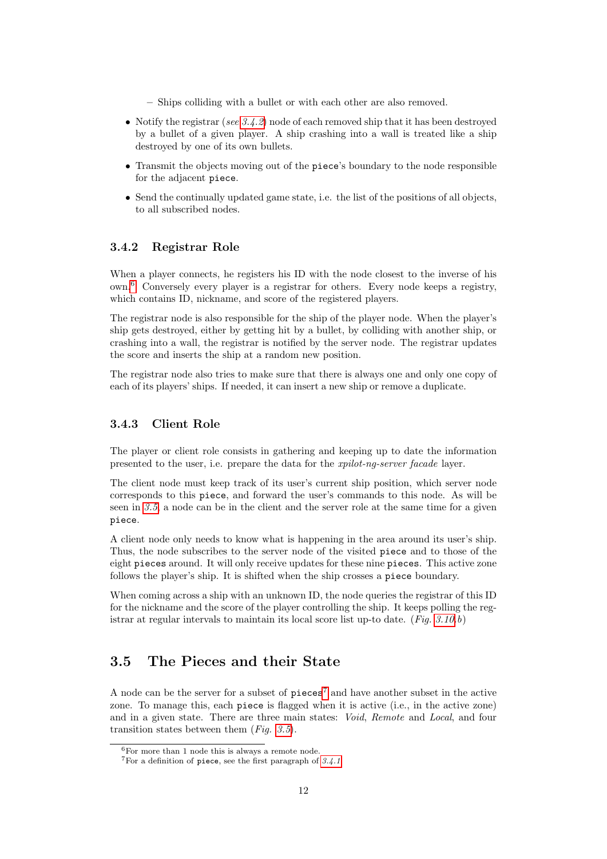- Ships colliding with a bullet or with each other are also removed.
- Notify the registrar (see  $3.4.2$ ) node of each removed ship that it has been destroyed by a bullet of a given player. A ship crashing into a wall is treated like a ship destroyed by one of its own bullets.
- Transmit the objects moving out of the piece's boundary to the node responsible for the adjacent piece.
- Send the continually updated game state, i.e. the list of the positions of all objects, to all subscribed nodes.

#### <span id="page-13-0"></span>3.4.2 Registrar Role

When a player connects, he registers his ID with the node closest to the inverse of his own.[6](#page-13-3) Conversely every player is a registrar for others. Every node keeps a registry, which contains ID, nickname, and score of the registered players.

The registrar node is also responsible for the ship of the player node. When the player's ship gets destroyed, either by getting hit by a bullet, by colliding with another ship, or crashing into a wall, the registrar is notified by the server node. The registrar updates the score and inserts the ship at a random new position.

The registrar node also tries to make sure that there is always one and only one copy of each of its players' ships. If needed, it can insert a new ship or remove a duplicate.

#### <span id="page-13-1"></span>3.4.3 Client Role

The player or client role consists in gathering and keeping up to date the information presented to the user, i.e. prepare the data for the xpilot-ng-server facade layer.

The client node must keep track of its user's current ship position, which server node corresponds to this piece, and forward the user's commands to this node. As will be seen in [3.5](#page-13-2), a node can be in the client and the server role at the same time for a given piece.

A client node only needs to know what is happening in the area around its user's ship. Thus, the node subscribes to the server node of the visited piece and to those of the eight pieces around. It will only receive updates for these nine pieces. This active zone follows the player's ship. It is shifted when the ship crosses a piece boundary.

When coming across a ship with an unknown ID, the node queries the registrar of this ID for the nickname and the score of the player controlling the ship. It keeps polling the registrar at regular intervals to maintain its local score list up-to date. (Fig.  $3.10.b$ )

#### <span id="page-13-2"></span>3.5 The Pieces and their State

A node can be the server for a subset of  $\mathbf{p} \in \mathbf{e}^7$  $\mathbf{p} \in \mathbf{e}^7$  and have another subset in the active zone. To manage this, each piece is flagged when it is active (i.e., in the active zone) and in a given state. There are three main states: Void, Remote and Local, and four transition states between them  $(Fiq. 3.5)$  $(Fiq. 3.5)$  $(Fiq. 3.5)$ .

<span id="page-13-3"></span> ${}^{6}$ For more than 1 node this is always a remote node.

<span id="page-13-4"></span> $7$ For a definition of piece, see the first paragraph of  $3.4.1$ .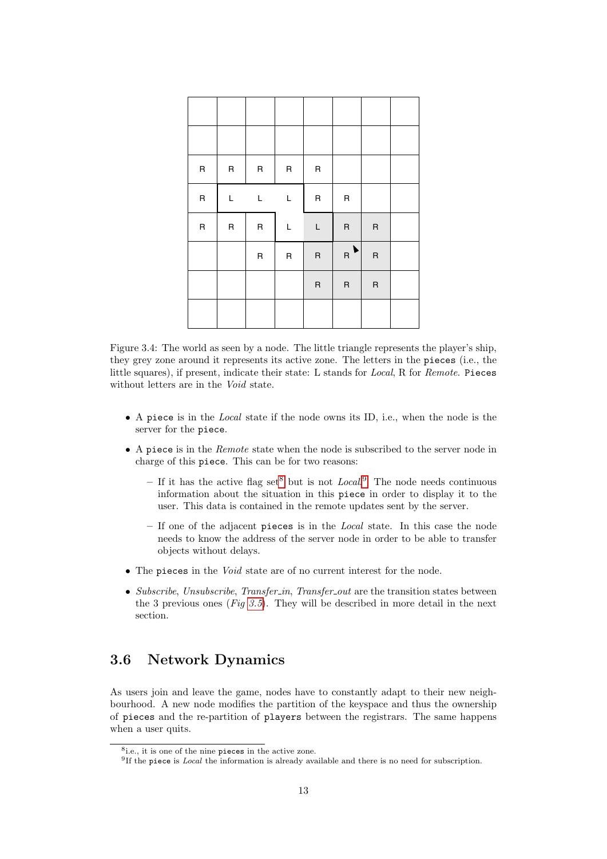| ${\sf R}$ | ${\sf R}$ | ${\sf R}$ | ${\sf R}$ | ${\sf R}$ |           |           |  |
|-----------|-----------|-----------|-----------|-----------|-----------|-----------|--|
| $\sf R$   | L         | L         | L         | ${\sf R}$ | ${\sf R}$ |           |  |
| $\sf R$   | ${\sf R}$ | ${\sf R}$ | L         | L         | $\sf R$   | $\sf R$   |  |
|           |           | ${\sf R}$ | ${\sf R}$ | $\sf R$   | ▶<br>R    | ${\sf R}$ |  |
|           |           |           |           | $\sf R$   | $\sf R$   | ${\sf R}$ |  |
|           |           |           |           |           |           |           |  |

<span id="page-14-3"></span>Figure 3.4: The world as seen by a node. The little triangle represents the player's ship, they grey zone around it represents its active zone. The letters in the pieces (i.e., the little squares), if present, indicate their state: L stands for Local, R for Remote. Pieces without letters are in the Void state.

- A piece is in the Local state if the node owns its ID, i.e., when the node is the server for the piece.
- A piece is in the Remote state when the node is subscribed to the server node in charge of this piece. This can be for two reasons:
	- If it has the active flag set<sup>[8](#page-14-1)</sup> but is not *Local*.<sup>[9](#page-14-2)</sup> The node needs continuous information about the situation in this piece in order to display it to the user. This data is contained in the remote updates sent by the server.
	- $-$  If one of the adjacent pieces is in the *Local* state. In this case the node needs to know the address of the server node in order to be able to transfer objects without delays.
- The pieces in the Void state are of no current interest for the node.
- Subscribe, Unsubscribe, Transfer\_in, Transfer\_out are the transition states between the 3 previous ones (Fig [3.5](#page-15-1)). They will be described in more detail in the next section.

#### <span id="page-14-0"></span>3.6 Network Dynamics

As users join and leave the game, nodes have to constantly adapt to their new neighbourhood. A new node modifies the partition of the keyspace and thus the ownership of pieces and the re-partition of players between the registrars. The same happens when a user quits.

<span id="page-14-1"></span><sup>8</sup> i.e., it is one of the nine pieces in the active zone.

<span id="page-14-2"></span><sup>&</sup>lt;sup>9</sup>If the piece is *Local* the information is already available and there is no need for subscription.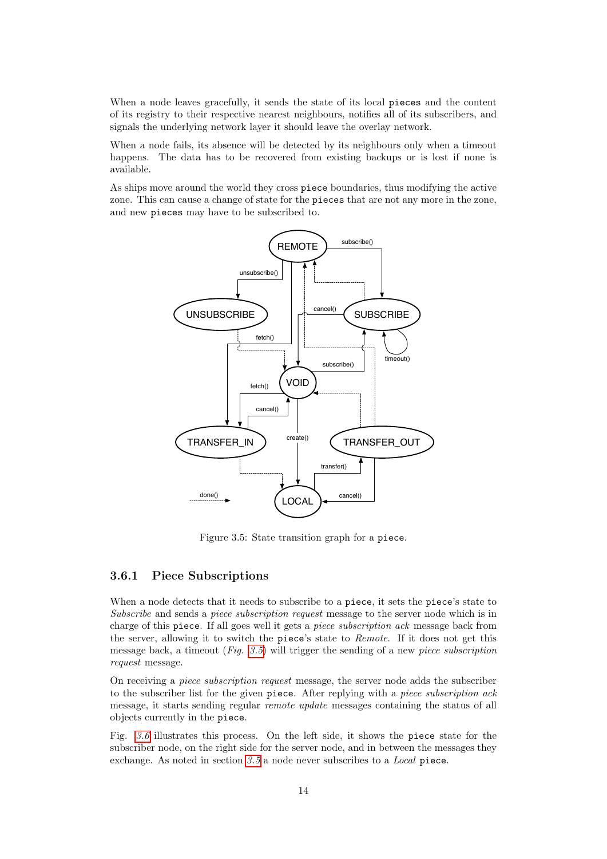When a node leaves gracefully, it sends the state of its local pieces and the content of its registry to their respective nearest neighbours, notifies all of its subscribers, and signals the underlying network layer it should leave the overlay network.

When a node fails, its absence will be detected by its neighbours only when a timeout happens. The data has to be recovered from existing backups or is lost if none is available.

As ships move around the world they cross piece boundaries, thus modifying the active zone. This can cause a change of state for the pieces that are not any more in the zone, and new pieces may have to be subscribed to.



<span id="page-15-1"></span>Figure 3.5: State transition graph for a piece.

#### <span id="page-15-0"></span>3.6.1 Piece Subscriptions

When a node detects that it needs to subscribe to a piece, it sets the piece's state to Subscribe and sends a piece subscription request message to the server node which is in charge of this piece. If all goes well it gets a piece subscription ack message back from the server, allowing it to switch the piece's state to Remote. If it does not get this message back, a timeout  $(Fig. 3.5)$  $(Fig. 3.5)$  $(Fig. 3.5)$  will trigger the sending of a new *piece subscription* request message.

On receiving a piece subscription request message, the server node adds the subscriber to the subscriber list for the given piece. After replying with a piece subscription ack message, it starts sending regular remote update messages containing the status of all objects currently in the piece.

Fig. [3.6](#page-16-1) illustrates this process. On the left side, it shows the piece state for the subscriber node, on the right side for the server node, and in between the messages they exchange. As noted in section [3.5](#page-13-2) a node never subscribes to a Local piece.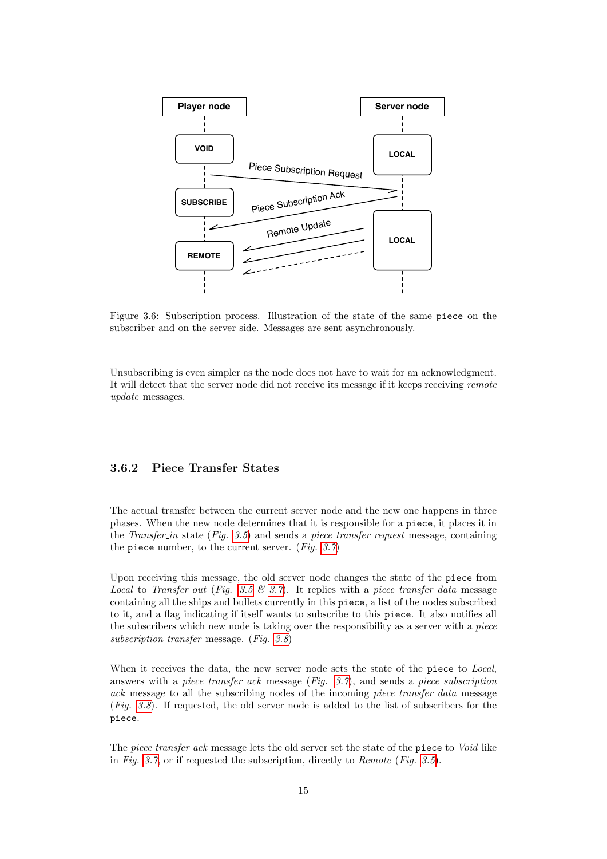

<span id="page-16-1"></span>Figure 3.6: Subscription process. Illustration of the state of the same piece on the subscriber and on the server side. Messages are sent asynchronously.

Unsubscribing is even simpler as the node does not have to wait for an acknowledgment. It will detect that the server node did not receive its message if it keeps receiving remote update messages.

#### <span id="page-16-0"></span>3.6.2 Piece Transfer States

The actual transfer between the current server node and the new one happens in three phases. When the new node determines that it is responsible for a piece, it places it in the Transfer in state (Fig. [3.5](#page-15-1)) and sends a piece transfer request message, containing the piece number, to the current server. (Fig.  $3.7$ )

Upon receiving this message, the old server node changes the state of the piece from Local to Transfer out (Fig. [3.5](#page-15-1)  $\mathcal{C}$  [3.7](#page-17-0)). It replies with a piece transfer data message containing all the ships and bullets currently in this piece, a list of the nodes subscribed to it, and a flag indicating if itself wants to subscribe to this piece. It also notifies all the subscribers which new node is taking over the responsibility as a server with a piece subscription transfer message. (Fig. [3.8](#page-17-1))

When it receives the data, the new server node sets the state of the piece to Local, answers with a piece transfer ack message (Fig.  $3.7$ ), and sends a piece subscription ack message to all the subscribing nodes of the incoming piece transfer data message (Fig. [3.8](#page-17-1)). If requested, the old server node is added to the list of subscribers for the piece.

The piece transfer ack message lets the old server set the state of the piece to Void like in Fig. [3.7](#page-17-0), or if requested the subscription, directly to Remote (Fig. [3.5](#page-15-1)).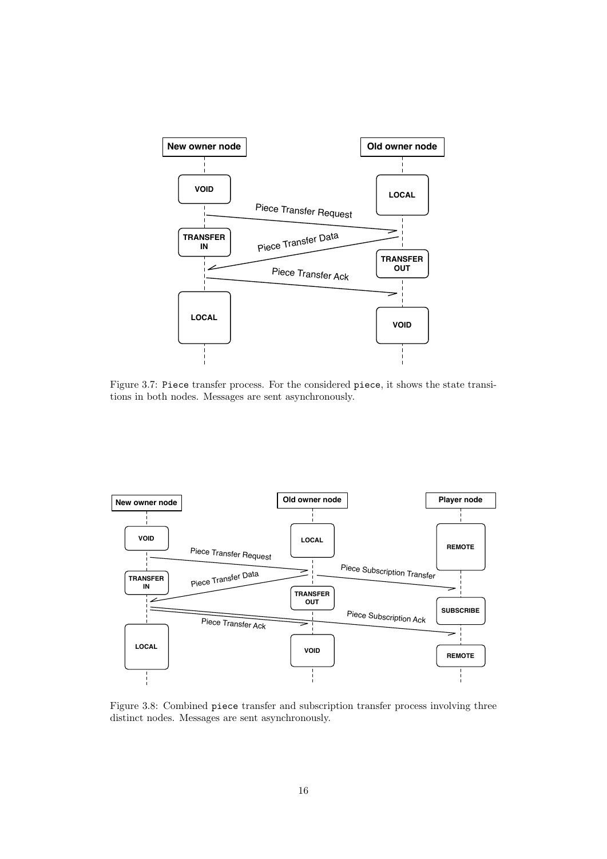

<span id="page-17-0"></span>Figure 3.7: Piece transfer process. For the considered piece, it shows the state transitions in both nodes. Messages are sent asynchronously.



<span id="page-17-1"></span>Figure 3.8: Combined piece transfer and subscription transfer process involving three distinct nodes. Messages are sent asynchronously.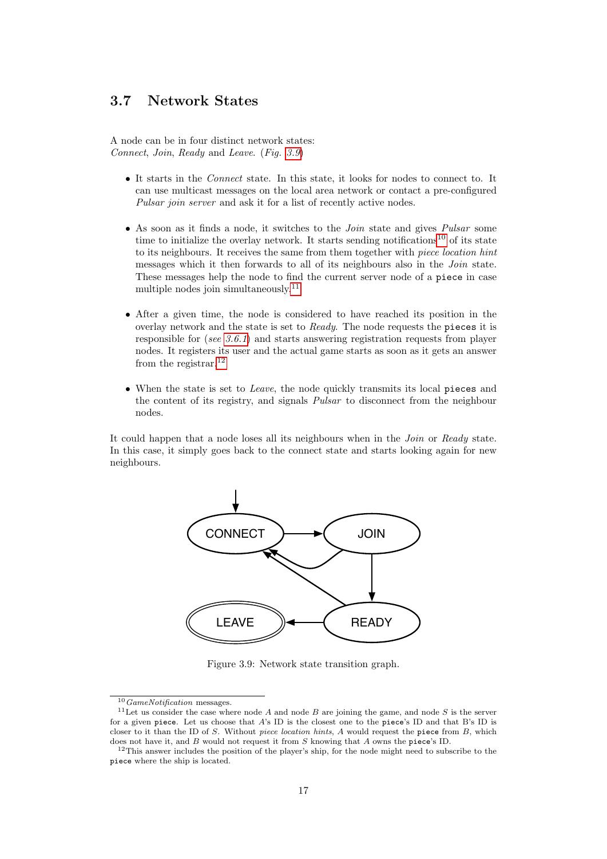#### <span id="page-18-0"></span>3.7 Network States

A node can be in four distinct network states: Connect, Join, Ready and Leave. (Fig. [3.9](#page-18-1))

- It starts in the Connect state. In this state, it looks for nodes to connect to. It can use multicast messages on the local area network or contact a pre-configured Pulsar join server and ask it for a list of recently active nodes.
- As soon as it finds a node, it switches to the *Join* state and gives *Pulsar* some time to initialize the overlay network. It starts sending notifications<sup>[10](#page-18-2)</sup> of its state to its neighbours. It receives the same from them together with piece location hint messages which it then forwards to all of its neighbours also in the *Join* state. These messages help the node to find the current server node of a piece in case multiple nodes join simultaneously.<sup>[11](#page-18-3)</sup>
- After a given time, the node is considered to have reached its position in the overlay network and the state is set to Ready. The node requests the pieces it is responsible for (see [3.6.1](#page-15-0)) and starts answering registration requests from player nodes. It registers its user and the actual game starts as soon as it gets an answer from the registrar.[12](#page-18-4)
- When the state is set to *Leave*, the node quickly transmits its local pieces and the content of its registry, and signals Pulsar to disconnect from the neighbour nodes.

It could happen that a node loses all its neighbours when in the Join or Ready state. In this case, it simply goes back to the connect state and starts looking again for new neighbours.



<span id="page-18-1"></span>Figure 3.9: Network state transition graph.

<span id="page-18-3"></span><span id="page-18-2"></span> $10$  GameNotification messages.

 $11$ Let us consider the case where node A and node B are joining the game, and node S is the server for a given piece. Let us choose that A's ID is the closest one to the piece's ID and that B's ID is closer to it than the ID of S. Without piece location hints, A would request the piece from B, which does not have it, and B would not request it from S knowing that A owns the piece's ID.

<span id="page-18-4"></span><sup>&</sup>lt;sup>12</sup>This answer includes the position of the player's ship, for the node might need to subscribe to the piece where the ship is located.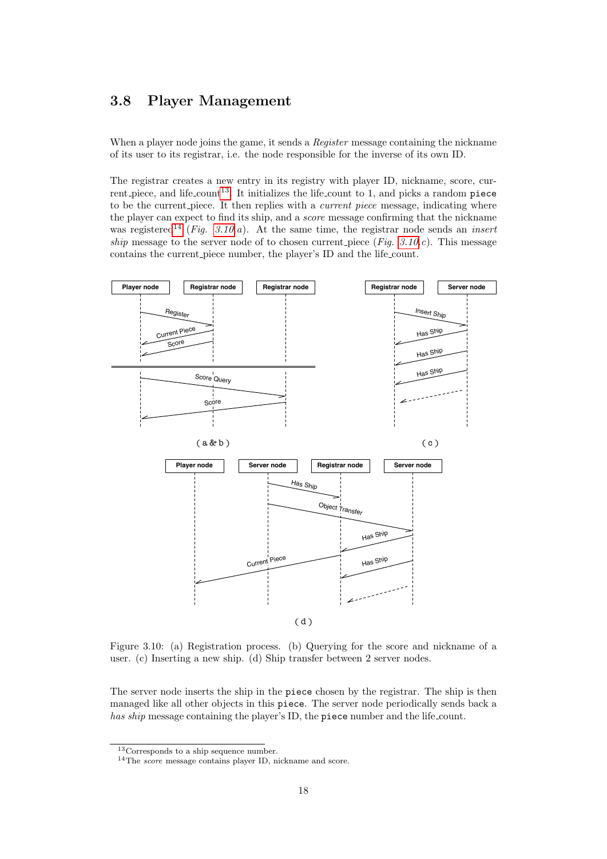#### <span id="page-19-0"></span>3.8 Player Management

When a player node joins the game, it sends a *Register* message containing the nickname of its user to its registrar, i.e. the node responsible for the inverse of its own ID.

The registrar creates a new entry in its registry with player ID, nickname, score, cur-rent piece, and life count<sup>[13](#page-19-2)</sup>. It initializes the life count to 1, and picks a random piece to be the current piece. It then replies with a *current piece* message, indicating where the player can expect to find its ship, and a score message confirming that the nickname was registered<sup>[14](#page-19-3)</sup> (Fig. [3.10.](#page-19-1)a). At the same time, the registrar node sends an *insert* ship message to the server node of to chosen current piece (Fig.  $3.10.c$ ). This message contains the current piece number, the player's ID and the life count.



<span id="page-19-1"></span>Figure 3.10: (a) Registration process. (b) Querying for the score and nickname of a user. (c) Inserting a new ship. (d) Ship transfer between 2 server nodes.

The server node inserts the ship in the piece chosen by the registrar. The ship is then managed like all other objects in this piece. The server node periodically sends back a has ship message containing the player's ID, the piece number and the life count.

<span id="page-19-2"></span> $13$ Corresponds to a ship sequence number.

<span id="page-19-3"></span><sup>&</sup>lt;sup>14</sup>The *score* message contains player ID, nickname and score.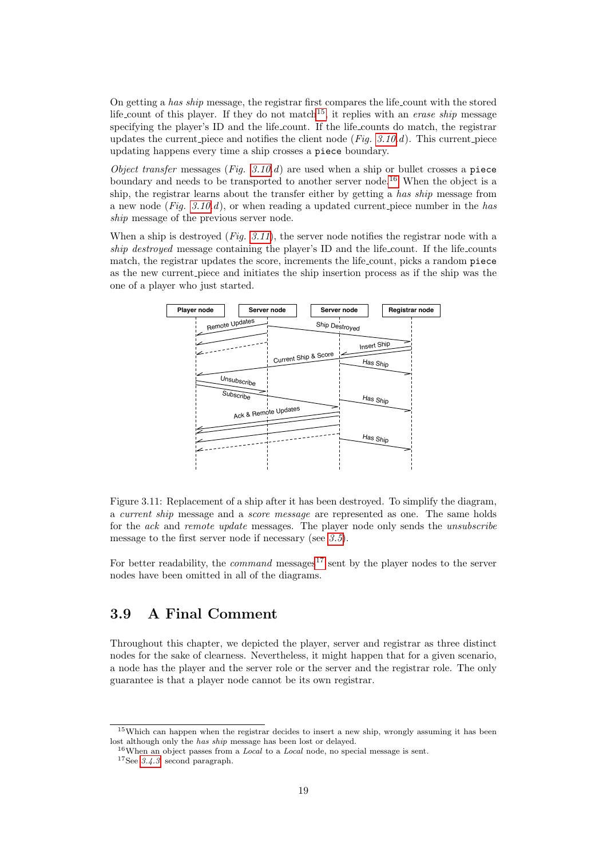On getting a has ship message, the registrar first compares the life count with the stored life count of this player. If they do not match<sup>[15](#page-20-1)</sup>, it replies with an *erase ship* message specifying the player's ID and the life count. If the life counts do match, the registrar updates the current piece and notifies the client node  $(Fiq. 3.10.d)$  $(Fiq. 3.10.d)$  $(Fiq. 3.10.d)$ . This current piece updating happens every time a ship crosses a piece boundary.

Object transfer messages (Fig.  $3.10d$ ) are used when a ship or bullet crosses a piece boundary and needs to be transported to another server node.<sup>[16](#page-20-2)</sup> When the object is a ship, the registrar learns about the transfer either by getting a has ship message from a new node (Fig.  $3.10.d$ ), or when reading a updated current piece number in the has ship message of the previous server node.

When a ship is destroyed  $(Fig. 3.11)$  $(Fig. 3.11)$  $(Fig. 3.11)$ , the server node notifies the registrar node with a ship destroyed message containing the player's ID and the life count. If the life counts match, the registrar updates the score, increments the life count, picks a random piece as the new current piece and initiates the ship insertion process as if the ship was the one of a player who just started.



<span id="page-20-3"></span>Figure 3.11: Replacement of a ship after it has been destroyed. To simplify the diagram, a current ship message and a score message are represented as one. The same holds for the ack and remote update messages. The player node only sends the unsubscribe message to the first server node if necessary (see [3.5](#page-13-2)).

For better readability, the *command* messages<sup>[17](#page-20-4)</sup> sent by the player nodes to the server nodes have been omitted in all of the diagrams.

#### <span id="page-20-0"></span>3.9 A Final Comment

Throughout this chapter, we depicted the player, server and registrar as three distinct nodes for the sake of clearness. Nevertheless, it might happen that for a given scenario, a node has the player and the server role or the server and the registrar role. The only guarantee is that a player node cannot be its own registrar.

<span id="page-20-1"></span><sup>&</sup>lt;sup>15</sup>Which can happen when the registrar decides to insert a new ship, wrongly assuming it has been lost although only the has ship message has been lost or delayed.

<span id="page-20-2"></span> $16$ When an object passes from a *Local* to a *Local* node, no special message is sent.

<span id="page-20-4"></span><sup>17</sup>See [3.4.3](#page-13-1), second paragraph.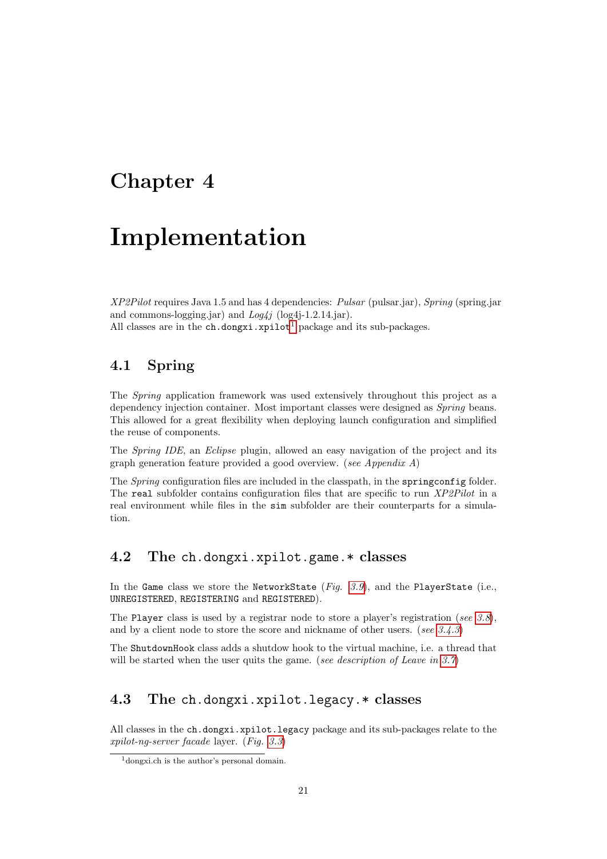### <span id="page-22-0"></span>Chapter 4

## Implementation

XP2Pilot requires Java 1.5 and has 4 dependencies: Pulsar (pulsar.jar), Spring (spring.jar and commons-logging.jar) and Log4j (log4j-1.2.14.jar). All classes are in the  $ch.dongxi[xpi]$  package and its sub-packages.

#### <span id="page-22-1"></span>4.1 Spring

The Spring application framework was used extensively throughout this project as a dependency injection container. Most important classes were designed as Spring beans. This allowed for a great flexibility when deploying launch configuration and simplified the reuse of components.

The Spring IDE, an Eclipse plugin, allowed an easy navigation of the project and its graph generation feature provided a good overview. (see Appendix A)

The Spring configuration files are included in the classpath, in the springconfig folder. The real subfolder contains configuration files that are specific to run XP2Pilot in a real environment while files in the sim subfolder are their counterparts for a simulation.

#### <span id="page-22-2"></span>4.2 The ch.dongxi.xpilot.game.\* classes

In the Game class we store the NetworkState (Fig.  $3.9$ ), and the PlayerState (i.e., UNREGISTERED, REGISTERING and REGISTERED).

The Player class is used by a registrar node to store a player's registration (see [3.8](#page-19-0)), and by a client node to store the score and nickname of other users. (see [3.4.3](#page-13-1))

The ShutdownHook class adds a shutdow hook to the virtual machine, i.e. a thread that will be started when the user quits the game. (see description of Leave in  $3.7$ )

#### <span id="page-22-3"></span>4.3 The ch.dongxi.xpilot.legacy.\* classes

All classes in the ch.dongxi.xpilot.legacy package and its sub-packages relate to the xpilot-ng-server facade layer. (Fig. [3.3](#page-11-3))

<span id="page-22-4"></span><sup>1</sup>dongxi.ch is the author's personal domain.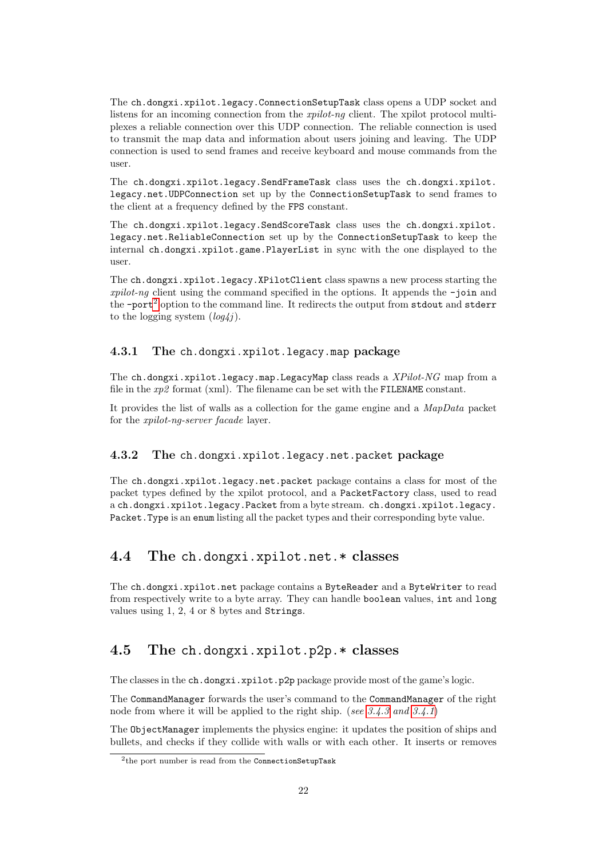The ch.dongxi.xpilot.legacy.ConnectionSetupTask class opens a UDP socket and listens for an incoming connection from the *xpilot-ng* client. The xpilot protocol multiplexes a reliable connection over this UDP connection. The reliable connection is used to transmit the map data and information about users joining and leaving. The UDP connection is used to send frames and receive keyboard and mouse commands from the user.

The ch.dongxi.xpilot.legacy.SendFrameTask class uses the ch.dongxi.xpilot. legacy.net.UDPConnection set up by the ConnectionSetupTask to send frames to the client at a frequency defined by the FPS constant.

The ch.dongxi.xpilot.legacy.SendScoreTask class uses the ch.dongxi.xpilot. legacy.net.ReliableConnection set up by the ConnectionSetupTask to keep the internal ch.dongxi.xpilot.game.PlayerList in sync with the one displayed to the user.

The ch.dongxi.xpilot.legacy.XPilotClient class spawns a new process starting the  $xpid-ng$  client using the command specified in the options. It appends the  $-join$  and the  $-port^2$  $-port^2$  option to the command line. It redirects the output from stdout and stderr to the logging system  $(log 4j)$ .

#### <span id="page-23-0"></span>4.3.1 The ch.dongxi.xpilot.legacy.map package

The ch.dongxi.xpilot.legacy.map.LegacyMap class reads a  $XPilot\text{-}NG$  map from a file in the  $xp2$  format (xml). The filename can be set with the FILENAME constant.

It provides the list of walls as a collection for the game engine and a MapData packet for the xpilot-ng-server facade layer.

#### <span id="page-23-1"></span>4.3.2 The ch.dongxi.xpilot.legacy.net.packet package

The ch.dongxi.xpilot.legacy.net.packet package contains a class for most of the packet types defined by the xpilot protocol, and a PacketFactory class, used to read a ch.dongxi.xpilot.legacy.Packet from a byte stream. ch.dongxi.xpilot.legacy. Packet.Type is an enum listing all the packet types and their corresponding byte value.

#### <span id="page-23-2"></span>4.4 The ch.dongxi.xpilot.net.\* classes

The ch.dongxi.xpilot.net package contains a ByteReader and a ByteWriter to read from respectively write to a byte array. They can handle boolean values, int and long values using 1, 2, 4 or 8 bytes and Strings.

#### <span id="page-23-3"></span>4.5 The ch.dongxi.xpilot.p2p.\* classes

The classes in the ch.dongxi.xpilot.p2p package provide most of the game's logic.

The CommandManager forwards the user's command to the CommandManager of the right node from where it will be applied to the right ship. (see  $3.4.3$  and  $3.4.1$ )

The ObjectManager implements the physics engine: it updates the position of ships and bullets, and checks if they collide with walls or with each other. It inserts or removes

<span id="page-23-4"></span><sup>&</sup>lt;sup>2</sup>the port number is read from the ConnectionSetupTask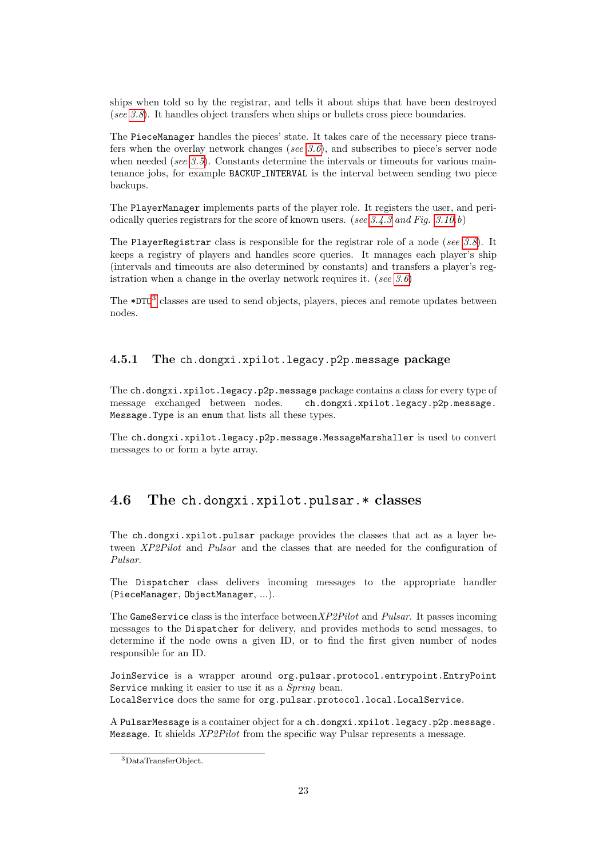ships when told so by the registrar, and tells it about ships that have been destroyed (see [3.8](#page-19-0)). It handles object transfers when ships or bullets cross piece boundaries.

The PieceManager handles the pieces' state. It takes care of the necessary piece transfers when the overlay network changes (see [3.6](#page-14-0)), and subscribes to piece's server node when needed (see  $3.5$ ). Constants determine the intervals or timeouts for various maintenance jobs, for example BACKUP INTERVAL is the interval between sending two piece backups.

The PlayerManager implements parts of the player role. It registers the user, and peri-odically queries registrars for the score of known users. (see [3.4.3](#page-13-1) and Fig. [3.10.](#page-19-1)b)

The PlayerRegistrar class is responsible for the registrar role of a node (see [3.8](#page-19-0)). It keeps a registry of players and handles score queries. It manages each player's ship (intervals and timeouts are also determined by constants) and transfers a player's registration when a change in the overlay network requires it. (see  $3.6$ )

The \*DTO[3](#page-24-2) classes are used to send objects, players, pieces and remote updates between nodes.

#### <span id="page-24-0"></span>4.5.1 The ch.dongxi.xpilot.legacy.p2p.message package

The ch.dongxi.xpilot.legacy.p2p.message package contains a class for every type of message exchanged between nodes. ch.dongxi.xpilot.legacy.p2p.message. Message.Type is an enum that lists all these types.

The ch.dongxi.xpilot.legacy.p2p.message.MessageMarshaller is used to convert messages to or form a byte array.

#### <span id="page-24-1"></span>4.6 The ch.dongxi.xpilot.pulsar.\* classes

The ch.dongxi.xpilot.pulsar package provides the classes that act as a layer between XP2Pilot and Pulsar and the classes that are needed for the configuration of Pulsar.

The Dispatcher class delivers incoming messages to the appropriate handler (PieceManager, ObjectManager, ...).

The GameService class is the interface between  $XP2Pilot$  and  $Pulsar$ . It passes incoming messages to the Dispatcher for delivery, and provides methods to send messages, to determine if the node owns a given ID, or to find the first given number of nodes responsible for an ID.

JoinService is a wrapper around org.pulsar.protocol.entrypoint.EntryPoint Service making it easier to use it as a *Spring* bean. LocalService does the same for org.pulsar.protocol.local.LocalService.

A PulsarMessage is a container object for a ch.dongxi.xpilot.legacy.p2p.message. Message. It shields XP2Pilot from the specific way Pulsar represents a message.

<span id="page-24-2"></span><sup>3</sup>DataTransferObject.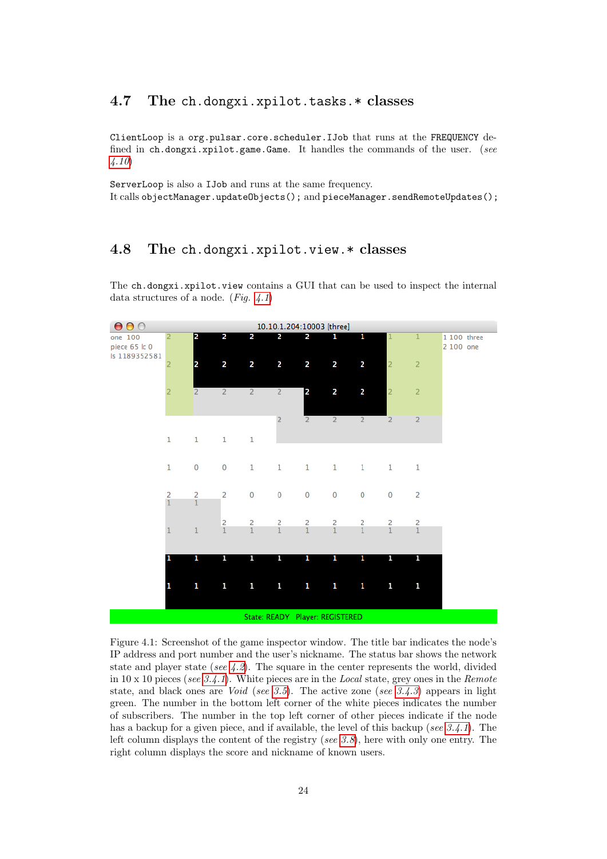#### <span id="page-25-0"></span>4.7 The ch.dongxi.xpilot.tasks.\* classes

ClientLoop is a org.pulsar.core.scheduler.IJob that runs at the FREQUENCY defined in ch.dongxi.xpilot.game.Game. It handles the commands of the user. (see [4.10](#page-26-1))

ServerLoop is also a IJob and runs at the same frequency. It calls objectManager.updateObjects(); and pieceManager.sendRemoteUpdates();

#### <span id="page-25-1"></span>4.8 The ch.dongxi.xpilot.view.\* classes

The ch.dongxi.xpilot.view contains a GUI that can be used to inspect the internal data structures of a node. (Fig.  $4.1$ )



<span id="page-25-2"></span>Figure 4.1: Screenshot of the game inspector window. The title bar indicates the node's IP address and port number and the user's nickname. The status bar shows the network state and player state (see  $(4.2)$ ). The square in the center represents the world, divided in 10 x 10 pieces (see [3.4.1](#page-12-2)). White pieces are in the Local state, grey ones in the Remote state, and black ones are *Void* (see [3.5](#page-13-2)). The active zone (see [3.4.3](#page-13-1)) appears in light green. The number in the bottom left corner of the white pieces indicates the number of subscribers. The number in the top left corner of other pieces indicate if the node has a backup for a given piece, and if available, the level of this backup (see  $3.4.1$ ). The left column displays the content of the registry (see [3.8](#page-19-0)), here with only one entry. The right column displays the score and nickname of known users.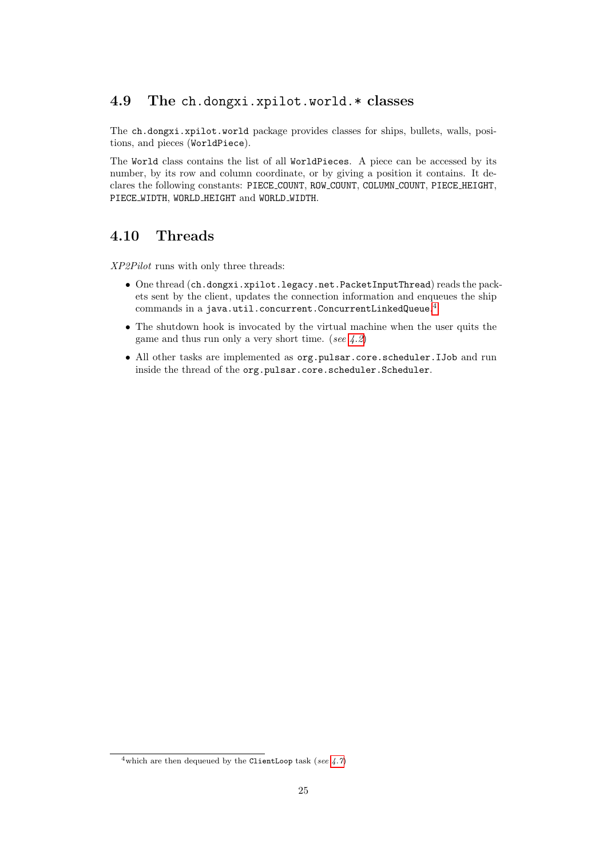#### <span id="page-26-0"></span>4.9 The ch.dongxi.xpilot.world.\* classes

The ch.dongxi.xpilot.world package provides classes for ships, bullets, walls, positions, and pieces (WorldPiece).

The World class contains the list of all WorldPieces. A piece can be accessed by its number, by its row and column coordinate, or by giving a position it contains. It declares the following constants: PIECE COUNT, ROW COUNT, COLUMN COUNT, PIECE HEIGHT, PIECE\_WIDTH, WORLD\_HEIGHT and WORLD\_WIDTH.

#### <span id="page-26-1"></span>4.10 Threads

XP2Pilot runs with only three threads:

- One thread (ch.dongxi.xpilot.legacy.net.PacketInputThread) reads the packets sent by the client, updates the connection information and enqueues the ship  ${\rm commands}$  in a java.util.concurrent.ConcurrentLinkedQueue. $^4$  $^4$
- The shutdown hook is invocated by the virtual machine when the user quits the game and thus run only a very short time. (see  $(4.2)$ )
- All other tasks are implemented as org.pulsar.core.scheduler.IJob and run inside the thread of the org.pulsar.core.scheduler.Scheduler.

<span id="page-26-2"></span><sup>&</sup>lt;sup>4</sup>which are then dequeued by the ClientLoop task (see  $4.7$ )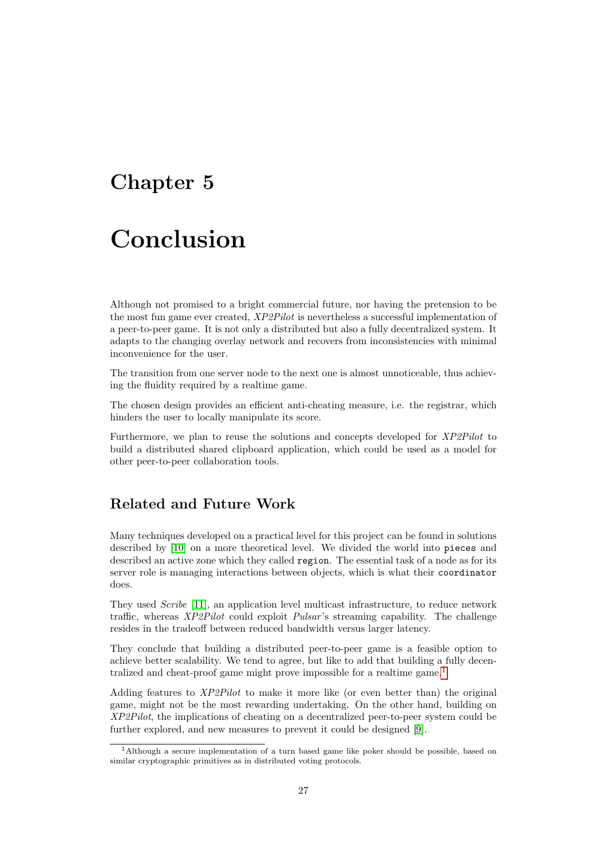### <span id="page-28-0"></span>Chapter 5

## Conclusion

Although not promised to a bright commercial future, nor having the pretension to be the most fun game ever created, XP2Pilot is nevertheless a successful implementation of a peer-to-peer game. It is not only a distributed but also a fully decentralized system. It adapts to the changing overlay network and recovers from inconsistencies with minimal inconvenience for the user.

The transition from one server node to the next one is almost unnoticeable, thus achieving the fluidity required by a realtime game.

The chosen design provides an efficient anti-cheating measure, i.e. the registrar, which hinders the user to locally manipulate its score.

Furthermore, we plan to reuse the solutions and concepts developed for XP2Pilot to build a distributed shared clipboard application, which could be used as a model for other peer-to-peer collaboration tools.

#### Related and Future Work

Many techniques developed on a practical level for this project can be found in solutions described by [\[10\]](#page-32-9) on a more theoretical level. We divided the world into pieces and described an active zone which they called region. The essential task of a node as for its server role is managing interactions between objects, which is what their coordinator does.

They used Scribe [\[11\]](#page-32-10), an application level multicast infrastructure, to reduce network traffic, whereas XP2Pilot could exploit Pulsar 's streaming capability. The challenge resides in the tradeoff between reduced bandwidth versus larger latency.

They conclude that building a distributed peer-to-peer game is a feasible option to achieve better scalability. We tend to agree, but like to add that building a fully decen-tralized and cheat-proof game might prove impossible for a realtime game.<sup>[1](#page-28-1)</sup>

Adding features to XP2Pilot to make it more like (or even better than) the original game, might not be the most rewarding undertaking. On the other hand, building on XP2Pilot, the implications of cheating on a decentralized peer-to-peer system could be further explored, and new measures to prevent it could be designed [\[9\]](#page-32-8).

<span id="page-28-1"></span><sup>1</sup>Although a secure implementation of a turn based game like poker should be possible, based on similar cryptographic primitives as in distributed voting protocols.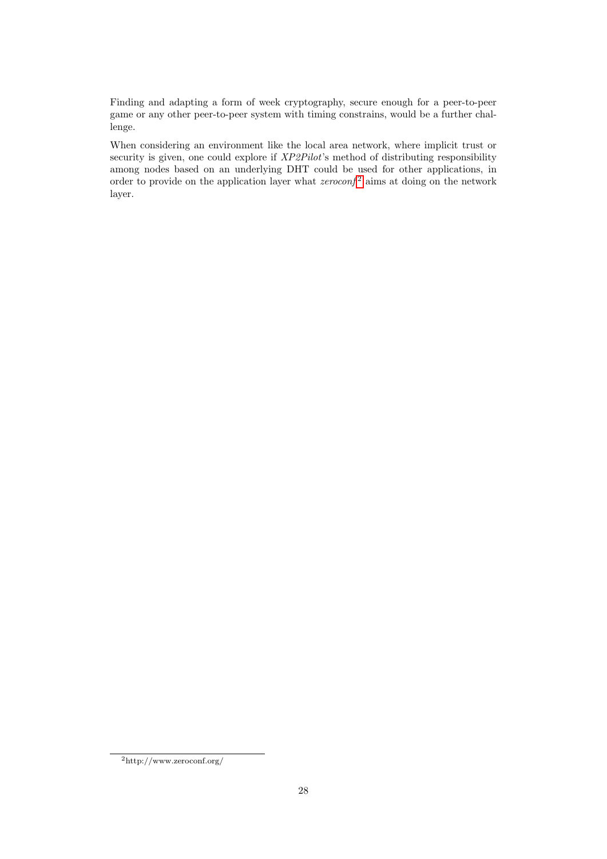Finding and adapting a form of week cryptography, secure enough for a peer-to-peer game or any other peer-to-peer system with timing constrains, would be a further challenge.

When considering an environment like the local area network, where implicit trust or security is given, one could explore if  $XP2Pilot$ 's method of distributing responsibility among nodes based on an underlying DHT could be used for other applications, in order to provide on the application layer what  $zeroconf^2$  $zeroconf^2$  aims at doing on the network layer.

<span id="page-29-0"></span><sup>2</sup>http://www.zeroconf.org/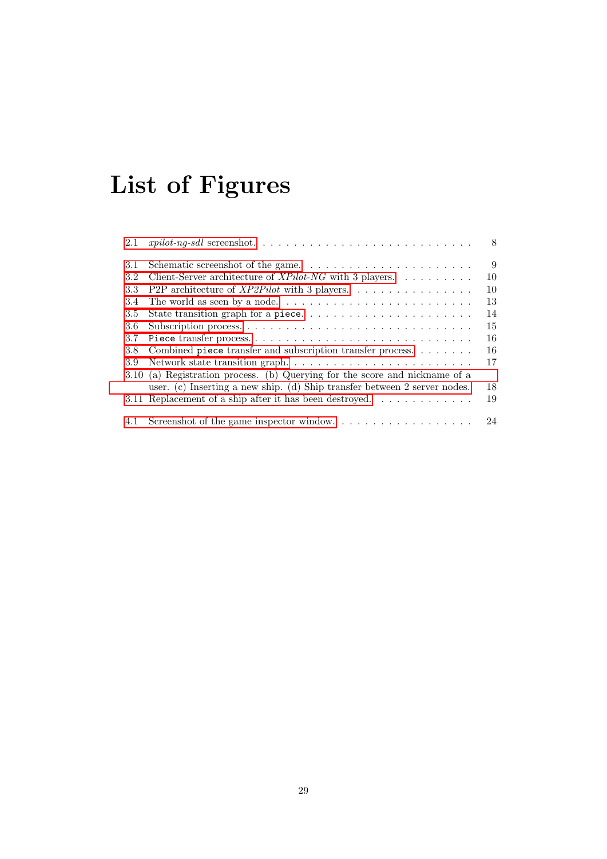# List of Figures

| 2.1 |                                                                                            | 8  |
|-----|--------------------------------------------------------------------------------------------|----|
| 3.1 |                                                                                            | 9  |
| 3.2 | Client-Server architecture of $XPilot\text{-}NG$ with 3 players.                           | 10 |
| 3.3 | P2P architecture of $XP2Pilot$ with 3 players.                                             | 10 |
| 3.4 | The world as seen by a node. $\dots \dots \dots \dots \dots \dots \dots \dots \dots \dots$ | 13 |
| 3.5 | State transition graph for a piece                                                         | 14 |
| 3.6 |                                                                                            | 15 |
| 3.7 |                                                                                            | 16 |
| 3.8 | Combined piece transfer and subscription transfer process.                                 | 16 |
| 3.9 |                                                                                            | 17 |
|     | 3.10 (a) Registration process. (b) Querying for the score and nickname of a                |    |
|     | user. (c) Inserting a new ship. (d) Ship transfer between 2 server nodes.                  | 18 |
|     | 3.11 Replacement of a ship after it has been destroyed. $\dots \dots \dots \dots$          | 19 |
|     |                                                                                            |    |
|     | 4.1 Screenshot of the game inspector window                                                | 24 |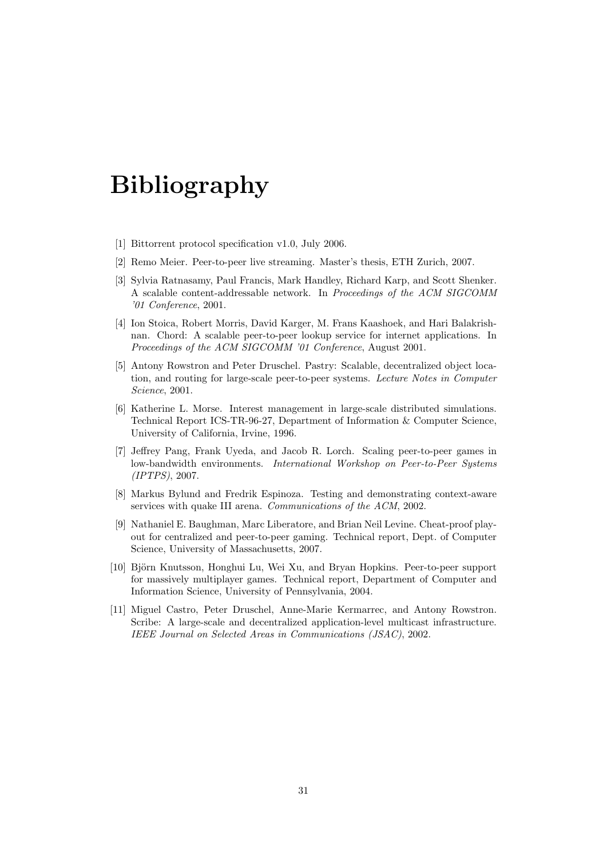## Bibliography

- <span id="page-32-0"></span>[1] Bittorrent protocol specification v1.0, July 2006.
- <span id="page-32-1"></span>[2] Remo Meier. Peer-to-peer live streaming. Master's thesis, ETH Zurich, 2007.
- <span id="page-32-2"></span>[3] Sylvia Ratnasamy, Paul Francis, Mark Handley, Richard Karp, and Scott Shenker. A scalable content-addressable network. In Proceedings of the ACM SIGCOMM '01 Conference, 2001.
- <span id="page-32-3"></span>[4] Ion Stoica, Robert Morris, David Karger, M. Frans Kaashoek, and Hari Balakrishnan. Chord: A scalable peer-to-peer lookup service for internet applications. In Proceedings of the ACM SIGCOMM '01 Conference, August 2001.
- <span id="page-32-4"></span>[5] Antony Rowstron and Peter Druschel. Pastry: Scalable, decentralized object location, and routing for large-scale peer-to-peer systems. Lecture Notes in Computer Science, 2001.
- <span id="page-32-5"></span>[6] Katherine L. Morse. Interest management in large-scale distributed simulations. Technical Report ICS-TR-96-27, Department of Information & Computer Science, University of California, Irvine, 1996.
- <span id="page-32-6"></span>[7] Jeffrey Pang, Frank Uyeda, and Jacob R. Lorch. Scaling peer-to-peer games in low-bandwidth environments. International Workshop on Peer-to-Peer Systems (IPTPS), 2007.
- <span id="page-32-7"></span>[8] Markus Bylund and Fredrik Espinoza. Testing and demonstrating context-aware services with quake III arena. Communications of the ACM, 2002.
- <span id="page-32-8"></span>[9] Nathaniel E. Baughman, Marc Liberatore, and Brian Neil Levine. Cheat-proof playout for centralized and peer-to-peer gaming. Technical report, Dept. of Computer Science, University of Massachusetts, 2007.
- <span id="page-32-9"></span>[10] Björn Knutsson, Honghui Lu, Wei Xu, and Bryan Hopkins. Peer-to-peer support for massively multiplayer games. Technical report, Department of Computer and Information Science, University of Pennsylvania, 2004.
- <span id="page-32-10"></span>[11] Miguel Castro, Peter Druschel, Anne-Marie Kermarrec, and Antony Rowstron. Scribe: A large-scale and decentralized application-level multicast infrastructure. IEEE Journal on Selected Areas in Communications (JSAC), 2002.